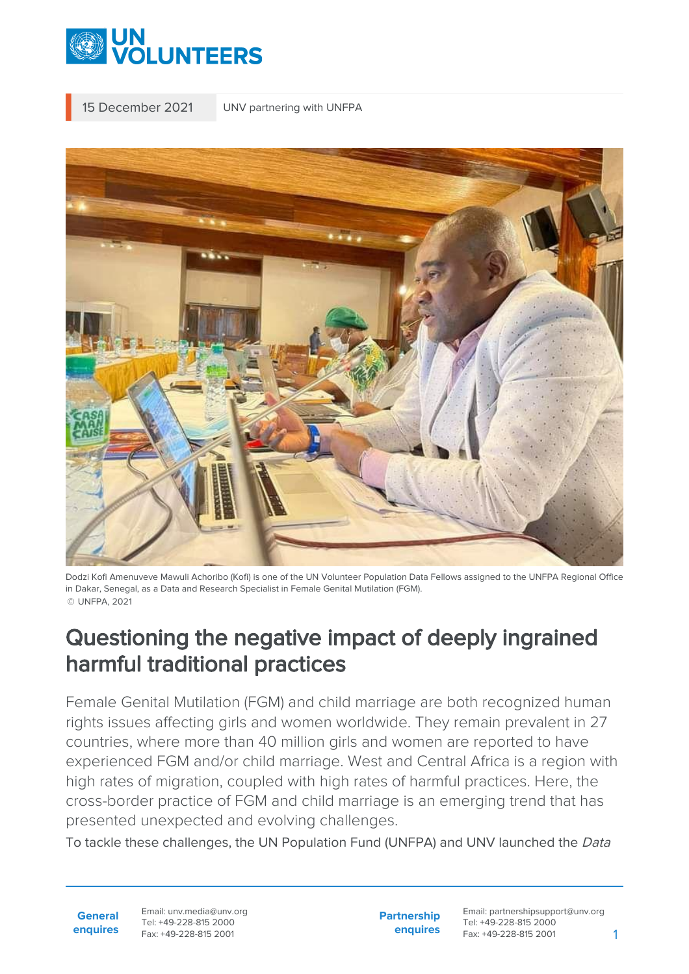

15 December 2021 UNV partnering with UNFPA



Dodzi Kofi Amenuveve Mawuli Achoribo (Kofi) is one of the UN Volunteer Population Data Fellows assigned to the UNFPA Regional Office in Dakar, Senegal, as a Data and Research Specialist in Female Genital Mutilation (FGM). © UNFPA, 2021

## Questioning the negative impact of deeply ingrained harmful traditional practices

Female Genital Mutilation (FGM) and child marriage are both recognized human rights issues affecting girls and women worldwide. They remain prevalent in 27 countries, where more than 40 million girls and women are reported to have experienced FGM and/or child marriage. West and Central Africa is a region with high rates of migration, coupled with high rates of harmful practices. Here, the cross-border practice of FGM and child marriage is an emerging trend that has presented unexpected and evolving challenges.

To tackle these challenges, the UN Population Fund (UNFPA) and UNV launched the Data

**General enquires** Email: unv.media@unv.org Tel: +49-228-815 2000 Fax: +49-228-815 2001

**Partnership enquires**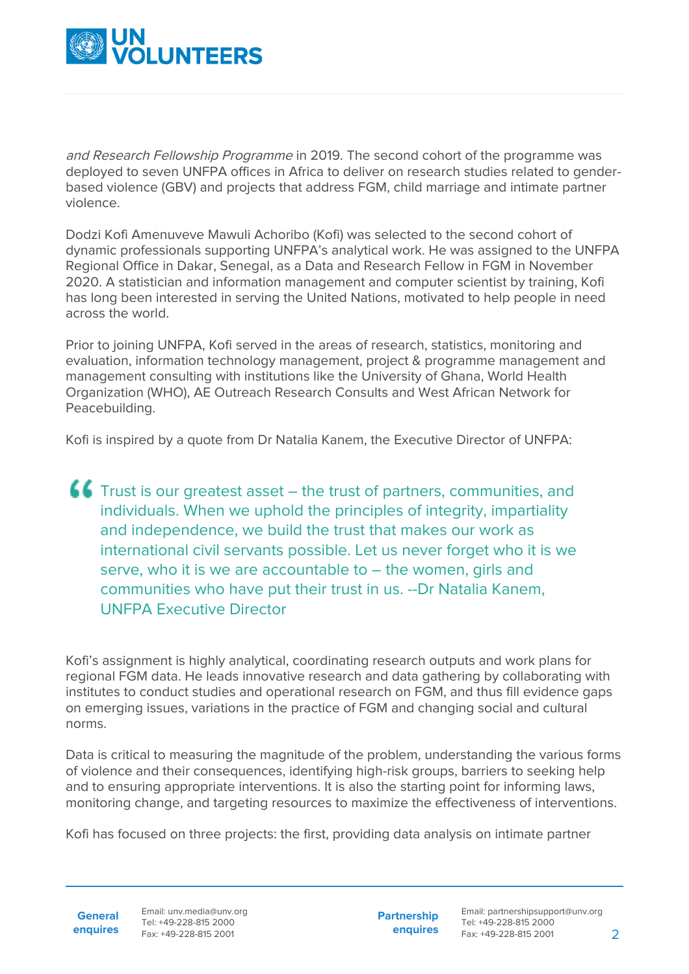

and Research Fellowship Programme in 2019. The second cohort of the programme was deployed to seven UNFPA offices in Africa to deliver on research studies related to genderbased violence (GBV) and projects that address FGM, child marriage and intimate partner violence.

Dodzi Kofi Amenuveve Mawuli Achoribo (Kofi) was selected to the second cohort of dynamic professionals supporting UNFPA's analytical work. He was assigned to the UNFPA Regional Office in Dakar, Senegal, as a Data and Research Fellow in FGM in November 2020. A statistician and information management and computer scientist by training, Kofi has long been interested in serving the United Nations, motivated to help people in need across the world.

Prior to joining UNFPA, Kofi served in the areas of research, statistics, monitoring and evaluation, information technology management, project & programme management and management consulting with institutions like the University of Ghana, World Health Organization (WHO), AE Outreach Research Consults and West African Network for Peacebuilding.

Kofi is inspired by a quote from Dr Natalia Kanem, the Executive Director of UNFPA:

**CC** Trust is our greatest asset – the trust of partners, communities, and individuals. When we uphold the principles of integrity, impartiality and independence, we build the trust that makes our work as international civil servants possible. Let us never forget who it is we serve, who it is we are accountable to – the women, girls and communities who have put their trust in us. --Dr Natalia Kanem, UNFPA Executive Director

Kofi's assignment is highly analytical, coordinating research outputs and work plans for regional FGM data. He leads innovative research and data gathering by collaborating with institutes to conduct studies and operational research on FGM, and thus fill evidence gaps on emerging issues, variations in the practice of FGM and changing social and cultural norms.

Data is critical to measuring the magnitude of the problem, understanding the various forms of violence and their consequences, identifying high-risk groups, barriers to seeking help and to ensuring appropriate interventions. It is also the starting point for informing laws, monitoring change, and targeting resources to maximize the effectiveness of interventions.

Kofi has focused on three projects: the first, providing data analysis on intimate partner

**General enquires**

Email: unv.media@unv.org Tel: +49-228-815 2000 Fax: +49-228-815 2001

**Partnership enquires**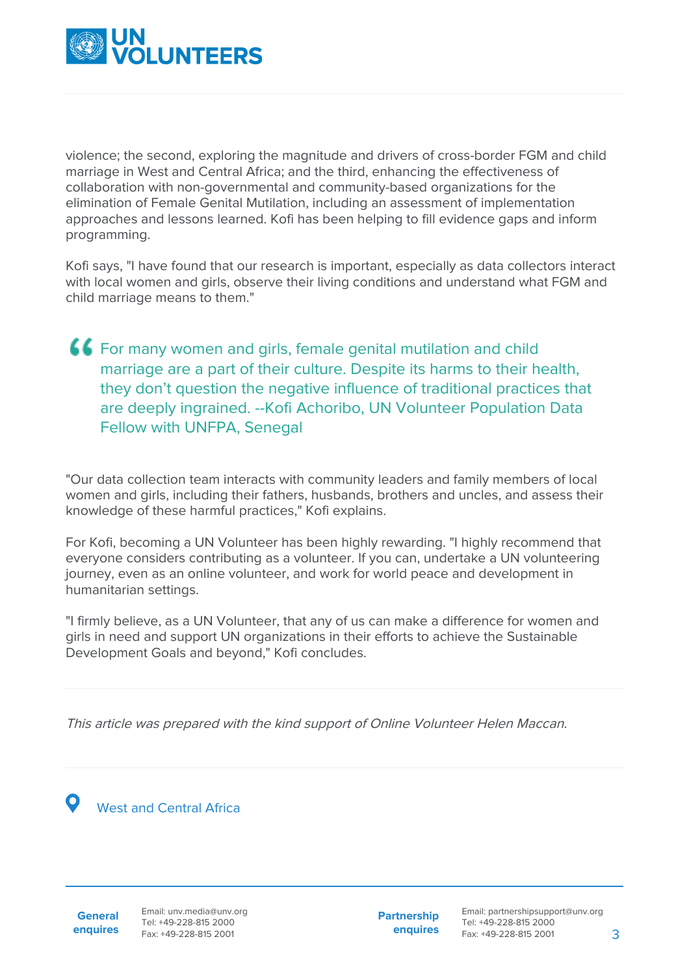

violence; the second, exploring the magnitude and drivers of cross-border FGM and child marriage in West and Central Africa; and the third, enhancing the effectiveness of collaboration with non-governmental and community-based organizations for the elimination of Female Genital Mutilation, including an assessment of implementation approaches and lessons learned. Kofi has been helping to fill evidence gaps and inform programming.

Kofi says, "I have found that our research is important, especially as data collectors interact with local women and girls, observe their living conditions and understand what FGM and child marriage means to them."

For many women and girls, female genital mutilation and child marriage are a part of their culture. Despite its harms to their health, they don't question the negative influence of traditional practices that are deeply ingrained. --Kofi Achoribo, UN Volunteer Population Data Fellow with UNFPA, Senegal

"Our data collection team interacts with community leaders and family members of local women and girls, including their fathers, husbands, brothers and uncles, and assess their knowledge of these harmful practices," Kofi explains.

For Kofi, becoming a UN Volunteer has been highly rewarding. "I highly recommend that everyone considers contributing as a volunteer. If you can, undertake a UN volunteering journey, even as an online volunteer, and work for world peace and development in humanitarian settings.

"I firmly believe, as a UN Volunteer, that any of us can make a difference for women and girls in need and support UN organizations in their efforts to achieve the Sustainable Development Goals and beyond," Kofi concludes.

This article was prepared with the kind support of Online Volunteer Helen Maccan.

West and Central Africa

**General enquires** Email: unv.media@unv.org Tel: +49-228-815 2000 Fax: +49-228-815 2001

**Partnership enquires**